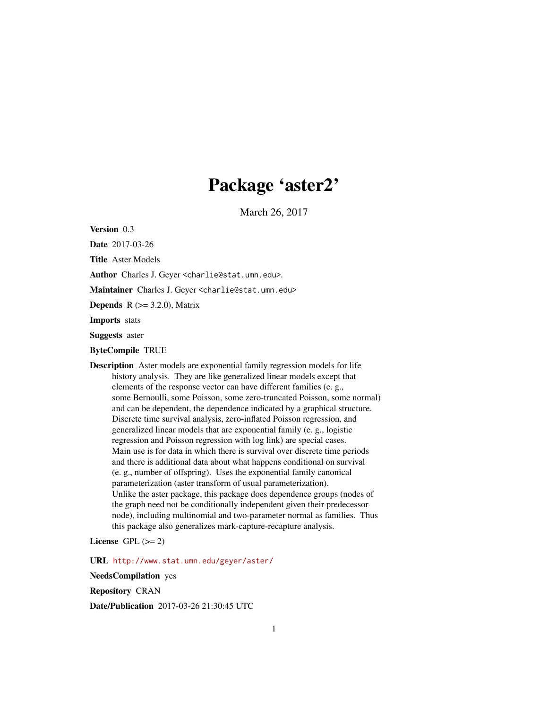## Package 'aster2'

March 26, 2017

<span id="page-0-0"></span>Version 0.3

Date 2017-03-26

Title Aster Models

Author Charles J. Geyer <charlie@stat.umn.edu>.

Maintainer Charles J. Geyer <charlie@stat.umn.edu>

**Depends** R  $(>= 3.2.0)$ , Matrix

Imports stats

Suggests aster

ByteCompile TRUE

Description Aster models are exponential family regression models for life history analysis. They are like generalized linear models except that elements of the response vector can have different families (e. g., some Bernoulli, some Poisson, some zero-truncated Poisson, some normal) and can be dependent, the dependence indicated by a graphical structure. Discrete time survival analysis, zero-inflated Poisson regression, and generalized linear models that are exponential family (e. g., logistic regression and Poisson regression with log link) are special cases. Main use is for data in which there is survival over discrete time periods and there is additional data about what happens conditional on survival (e. g., number of offspring). Uses the exponential family canonical parameterization (aster transform of usual parameterization). Unlike the aster package, this package does dependence groups (nodes of the graph need not be conditionally independent given their predecessor node), including multinomial and two-parameter normal as families. Thus this package also generalizes mark-capture-recapture analysis.

License GPL  $(>= 2)$ 

URL <http://www.stat.umn.edu/geyer/aster/>

NeedsCompilation yes

Repository CRAN

Date/Publication 2017-03-26 21:30:45 UTC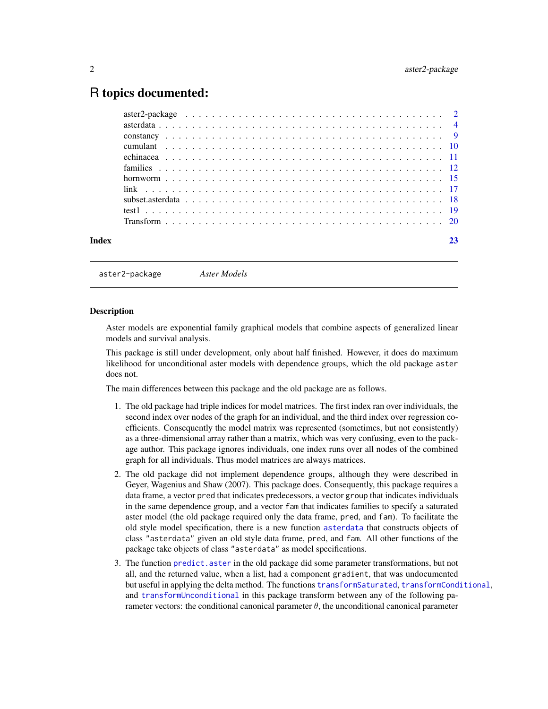## <span id="page-1-0"></span>R topics documented:

|  |  |  | 23 |
|--|--|--|----|

aster2-package *Aster Models*

#### **Description**

Aster models are exponential family graphical models that combine aspects of generalized linear models and survival analysis.

This package is still under development, only about half finished. However, it does do maximum likelihood for unconditional aster models with dependence groups, which the old package aster does not.

The main differences between this package and the old package are as follows.

- 1. The old package had triple indices for model matrices. The first index ran over individuals, the second index over nodes of the graph for an individual, and the third index over regression coefficients. Consequently the model matrix was represented (sometimes, but not consistently) as a three-dimensional array rather than a matrix, which was very confusing, even to the package author. This package ignores individuals, one index runs over all nodes of the combined graph for all individuals. Thus model matrices are always matrices.
- 2. The old package did not implement dependence groups, although they were described in Geyer, Wagenius and Shaw (2007). This package does. Consequently, this package requires a data frame, a vector pred that indicates predecessors, a vector group that indicates individuals in the same dependence group, and a vector fam that indicates families to specify a saturated aster model (the old package required only the data frame, pred, and fam). To facilitate the old style model specification, there is a new function [asterdata](#page-3-1) that constructs objects of class "asterdata" given an old style data frame, pred, and fam. All other functions of the package take objects of class "asterdata" as model specifications.
- 3. The function [predict.aster](#page-0-0) in the old package did some parameter transformations, but not all, and the returned value, when a list, had a component gradient, that was undocumented but useful in applying the delta method. The functions [transformSaturated](#page-19-1), [transformConditional](#page-19-1), and [transformUnconditional](#page-19-1) in this package transform between any of the following parameter vectors: the conditional canonical parameter  $\theta$ , the unconditional canonical parameter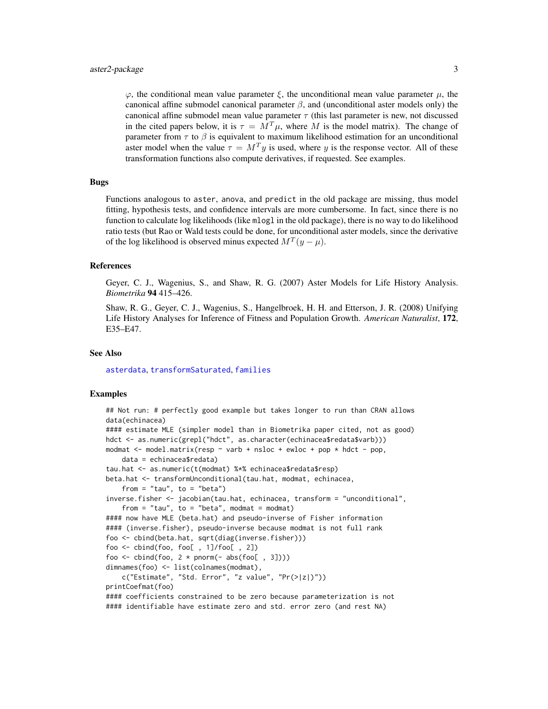#### <span id="page-2-0"></span>aster2-package 3

 $\varphi$ , the conditional mean value parameter  $\xi$ , the unconditional mean value parameter  $\mu$ , the canonical affine submodel canonical parameter  $\beta$ , and (unconditional aster models only) the canonical affine submodel mean value parameter  $\tau$  (this last parameter is new, not discussed in the cited papers below, it is  $\tau = M^T \mu$ , where M is the model matrix). The change of parameter from  $\tau$  to  $\beta$  is equivalent to maximum likelihood estimation for an unconditional aster model when the value  $\tau = M^T y$  is used, where y is the response vector. All of these transformation functions also compute derivatives, if requested. See examples.

## Bugs

Functions analogous to aster, anova, and predict in the old package are missing, thus model fitting, hypothesis tests, and confidence intervals are more cumbersome. In fact, since there is no function to calculate log likelihoods (like mlogl in the old package), there is no way to do likelihood ratio tests (but Rao or Wald tests could be done, for unconditional aster models, since the derivative of the log likelihood is observed minus expected  $M^T(y - \mu)$ .

#### References

Geyer, C. J., Wagenius, S., and Shaw, R. G. (2007) Aster Models for Life History Analysis. *Biometrika* 94 415–426.

Shaw, R. G., Geyer, C. J., Wagenius, S., Hangelbroek, H. H. and Etterson, J. R. (2008) Unifying Life History Analyses for Inference of Fitness and Population Growth. *American Naturalist*, 172, E35–E47.

#### See Also

[asterdata](#page-3-1), [transformSaturated](#page-19-1), [families](#page-11-1)

#### Examples

```
## Not run: # perfectly good example but takes longer to run than CRAN allows
data(echinacea)
#### estimate MLE (simpler model than in Biometrika paper cited, not as good)
hdct <- as.numeric(grepl("hdct", as.character(echinacea$redata$varb)))
modmat \leq model.matrix(resp \sim varb + nsloc + ewloc + pop \star hdct - pop,
    data = echinacea$redata)
tau.hat <- as.numeric(t(modmat) %*% echinacea$redata$resp)
beta.hat <- transformUnconditional(tau.hat, modmat, echinacea,
    from = "tau", to = "beta")
inverse.fisher <- jacobian(tau.hat, echinacea, transform = "unconditional",
    from = "tau", to = "beta", modmat = modmat)#### now have MLE (beta.hat) and pseudo-inverse of Fisher information
#### (inverse.fisher), pseudo-inverse because modmat is not full rank
foo <- cbind(beta.hat, sqrt(diag(inverse.fisher)))
foo \le cbind(foo, foo[, 1]/foo[, 2])
foo \le - cbind(foo, 2 * pnorm(- abs(foo[, 3])))
dimnames(foo) <- list(colnames(modmat),
    c("Estimate", "Std. Error", "z value", "Pr(>|z|)"))printCoefmat(foo)
#### coefficients constrained to be zero because parameterization is not
#### identifiable have estimate zero and std. error zero (and rest NA)
```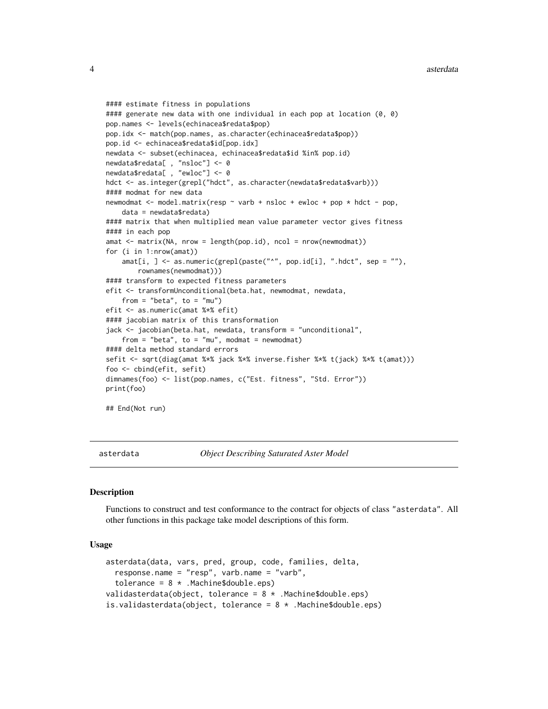```
#### estimate fitness in populations
#### generate new data with one individual in each pop at location (0, 0)
pop.names <- levels(echinacea$redata$pop)
pop.idx <- match(pop.names, as.character(echinacea$redata$pop))
pop.id <- echinacea$redata$id[pop.idx]
newdata <- subset(echinacea, echinacea$redata$id %in% pop.id)
newdata$redata[ , "nsloc"] <- 0
newdata$redata[ , "ewloc"] <- 0
hdct <- as.integer(grepl("hdct", as.character(newdata$redata$varb)))
#### modmat for new data
newmodmat \leq model.matrix(resp \sim varb + nsloc + ewloc + pop \star hdct - pop,
    data = newdata$redata)
#### matrix that when multiplied mean value parameter vector gives fitness
#### in each pop
amat <- matrix(NA, nrow = length(pop.id), ncol = nrow(newmodmat))
for (i in 1:nrow(amat))
    amat[i, ] <- as.numeric(grepl(paste("^", pop.id[i], ".hdct", sep = ""),
        rownames(newmodmat)))
#### transform to expected fitness parameters
efit <- transformUnconditional(beta.hat, newmodmat, newdata,
    from = "beta", to = "mu")
efit <- as.numeric(amat %*% efit)
#### jacobian matrix of this transformation
jack <- jacobian(beta.hat, newdata, transform = "unconditional",
    from = "beta", to = "mu", modmat = newmodmat)#### delta method standard errors
sefit <- sqrt(diag(amat %*% jack %*% inverse.fisher %*% t(jack) %*% t(amat)))
foo <- cbind(efit, sefit)
dimnames(foo) <- list(pop.names, c("Est. fitness", "Std. Error"))
print(foo)
## End(Not run)
```
<span id="page-3-1"></span>asterdata *Object Describing Saturated Aster Model*

## <span id="page-3-2"></span>Description

Functions to construct and test conformance to the contract for objects of class "asterdata". All other functions in this package take model descriptions of this form.

#### Usage

```
asterdata(data, vars, pred, group, code, families, delta,
  response.name = "resp", varb.name = "varb",
  tolerance = 8 *. Machine$double.eps)
validasterdata(object, tolerance = 8 *. Machine$double.eps)
is.validasterdata(object, tolerance = 8 * .Machine$double.eps)
```
<span id="page-3-0"></span>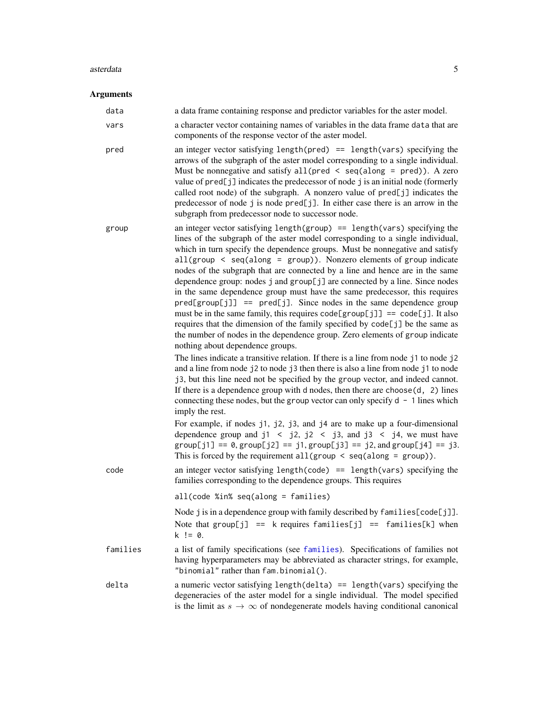#### <span id="page-4-0"></span>asterdata 5 and 5 and 5 and 5 and 5 and 5 and 5 and 5 and 5 and 5 and 5 and 5 and 5 and 5 and 5 and 5 and 5 and 5 and 5 and 5 and 5 and 5 and 5 and 5 and 5 and 5 and 5 and 5 and 5 and 5 and 5 and 5 and 5 and 5 and 5 and 5

## Arguments

| data     | a data frame containing response and predictor variables for the aster model.                                                                                                                                                                                                                                                                                                                                                                                                                                                                                                                                                                                                                                                                                                                                                                                                                                                                                                                                                                                                                                                                                                                                                                                                                                                                                                                      |
|----------|----------------------------------------------------------------------------------------------------------------------------------------------------------------------------------------------------------------------------------------------------------------------------------------------------------------------------------------------------------------------------------------------------------------------------------------------------------------------------------------------------------------------------------------------------------------------------------------------------------------------------------------------------------------------------------------------------------------------------------------------------------------------------------------------------------------------------------------------------------------------------------------------------------------------------------------------------------------------------------------------------------------------------------------------------------------------------------------------------------------------------------------------------------------------------------------------------------------------------------------------------------------------------------------------------------------------------------------------------------------------------------------------------|
| vars     | a character vector containing names of variables in the data frame data that are<br>components of the response vector of the aster model.                                                                                                                                                                                                                                                                                                                                                                                                                                                                                                                                                                                                                                                                                                                                                                                                                                                                                                                                                                                                                                                                                                                                                                                                                                                          |
| pred     | an integer vector satisfying length( $pred$ ) == length( $vars$ ) specifying the<br>arrows of the subgraph of the aster model corresponding to a single individual.<br>Must be nonnegative and satisfy all (pred $\le$ seq(along = pred)). A zero<br>value of pred[j] indicates the predecessor of node j is an initial node (formerly<br>called root node) of the subgraph. A nonzero value of pred[j] indicates the<br>predecessor of node j is node pred[j]. In either case there is an arrow in the<br>subgraph from predecessor node to successor node.                                                                                                                                                                                                                                                                                                                                                                                                                                                                                                                                                                                                                                                                                                                                                                                                                                       |
| group    | an integer vector satisfying length(group) == length(vars) specifying the<br>lines of the subgraph of the aster model corresponding to a single individual,<br>which in turn specify the dependence groups. Must be nonnegative and satisfy<br>$all(group < seq(along = group))$ . Nonzero elements of group indicate<br>nodes of the subgraph that are connected by a line and hence are in the same<br>dependence group: nodes j and group[j] are connected by a line. Since nodes<br>in the same dependence group must have the same predecessor, this requires<br>$pred[group[j]] == pred[j].$ Since nodes in the same dependence group<br>must be in the same family, this requires $code[group[j]] == code[j]$ . It also<br>requires that the dimension of the family specified by code[j] be the same as<br>the number of nodes in the dependence group. Zero elements of group indicate<br>nothing about dependence groups.<br>The lines indicate a transitive relation. If there is a line from node j1 to node j2<br>and a line from node j2 to node j3 then there is also a line from node j1 to node<br>j3, but this line need not be specified by the group vector, and indeed cannot.<br>If there is a dependence group with $d$ nodes, then there are choose $(d, 2)$ lines<br>connecting these nodes, but the group vector can only specify $d - 1$ lines which<br>imply the rest. |
|          | For example, if nodes j1, j2, j3, and j4 are to make up a four-dimensional<br>dependence group and $j1 \leq j2$ , $j2 \leq j3$ , and $j3 \leq j4$ , we must have<br>$group[j1] == 0, group[j2] == j1, group[j3] == j2, and group[j4] == j3.$<br>This is forced by the requirement all $(group < seq(along = group)$ .                                                                                                                                                                                                                                                                                                                                                                                                                                                                                                                                                                                                                                                                                                                                                                                                                                                                                                                                                                                                                                                                              |
| code     | an integer vector satisfying length(code) == length(vars) specifying the<br>families corresponding to the dependence groups. This requires                                                                                                                                                                                                                                                                                                                                                                                                                                                                                                                                                                                                                                                                                                                                                                                                                                                                                                                                                                                                                                                                                                                                                                                                                                                         |
|          | $all(code %in% seq(along = families)$                                                                                                                                                                                                                                                                                                                                                                                                                                                                                                                                                                                                                                                                                                                                                                                                                                                                                                                                                                                                                                                                                                                                                                                                                                                                                                                                                              |
|          | Node j is in a dependence group with family described by families [code[j]].<br>Note that $group[j] == k$ requires $family == families[k]$ when<br>$k := 0.$                                                                                                                                                                                                                                                                                                                                                                                                                                                                                                                                                                                                                                                                                                                                                                                                                                                                                                                                                                                                                                                                                                                                                                                                                                       |
| families | a list of family specifications (see families). Specifications of families not<br>having hyperparameters may be abbreviated as character strings, for example,<br>"binomial" rather than fam.binomial().                                                                                                                                                                                                                                                                                                                                                                                                                                                                                                                                                                                                                                                                                                                                                                                                                                                                                                                                                                                                                                                                                                                                                                                           |
| delta    | a numeric vector satisfying length(delta) == length(vars) specifying the<br>degeneracies of the aster model for a single individual. The model specified<br>is the limit as $s \to \infty$ of nondegenerate models having conditional canonical                                                                                                                                                                                                                                                                                                                                                                                                                                                                                                                                                                                                                                                                                                                                                                                                                                                                                                                                                                                                                                                                                                                                                    |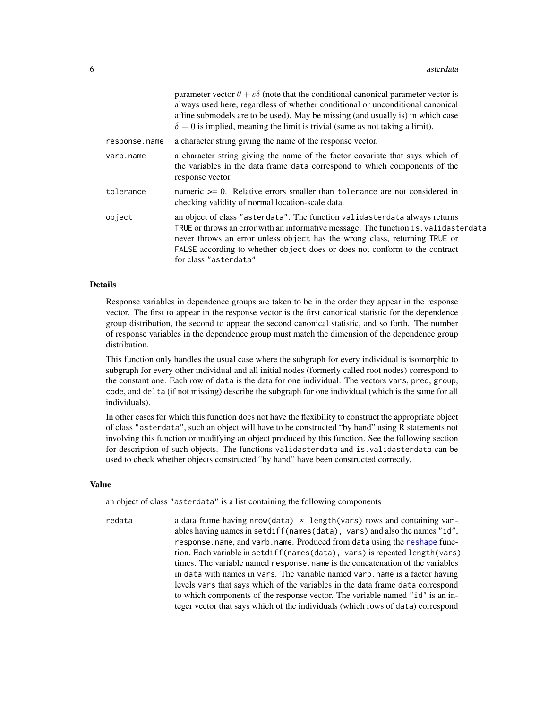<span id="page-5-0"></span>

|               | parameter vector $\theta + s\delta$ (note that the conditional canonical parameter vector is<br>always used here, regardless of whether conditional or unconditional canonical<br>affine submodels are to be used). May be missing (and usually is) in which case<br>$\delta = 0$ is implied, meaning the limit is trivial (same as not taking a limit). |
|---------------|----------------------------------------------------------------------------------------------------------------------------------------------------------------------------------------------------------------------------------------------------------------------------------------------------------------------------------------------------------|
| response.name | a character string giving the name of the response vector.                                                                                                                                                                                                                                                                                               |
| varb.name     | a character string giving the name of the factor covariate that says which of<br>the variables in the data frame data correspond to which components of the<br>response vector.                                                                                                                                                                          |
| tolerance     | numeric $\geq 0$ . Relative errors smaller than tolerance are not considered in<br>checking validity of normal location-scale data.                                                                                                                                                                                                                      |
| object        | an object of class "asterdata". The function validasterdata always returns<br>TRUE or throws an error with an informative message. The function is validasterdata<br>never throws an error unless object has the wrong class, returning TRUE or<br>FALSE according to whether object does or does not conform to the contract<br>for class "asterdata".  |

#### Details

Response variables in dependence groups are taken to be in the order they appear in the response vector. The first to appear in the response vector is the first canonical statistic for the dependence group distribution, the second to appear the second canonical statistic, and so forth. The number of response variables in the dependence group must match the dimension of the dependence group distribution.

This function only handles the usual case where the subgraph for every individual is isomorphic to subgraph for every other individual and all initial nodes (formerly called root nodes) correspond to the constant one. Each row of data is the data for one individual. The vectors vars, pred, group, code, and delta (if not missing) describe the subgraph for one individual (which is the same for all individuals).

In other cases for which this function does not have the flexibility to construct the appropriate object of class "asterdata", such an object will have to be constructed "by hand" using R statements not involving this function or modifying an object produced by this function. See the following section for description of such objects. The functions validasterdata and is.validasterdata can be used to check whether objects constructed "by hand" have been constructed correctly.

#### Value

an object of class "asterdata" is a list containing the following components

redata a data frame having nrow(data) \* length(vars) rows and containing variables having names in setdiff(names(data), vars) and also the names "id", response.name, and varb.name. Produced from data using the [reshape](#page-0-0) function. Each variable in setdiff(names(data), vars) is repeated length(vars) times. The variable named response.name is the concatenation of the variables in data with names in vars. The variable named varb.name is a factor having levels vars that says which of the variables in the data frame data correspond to which components of the response vector. The variable named "id" is an integer vector that says which of the individuals (which rows of data) correspond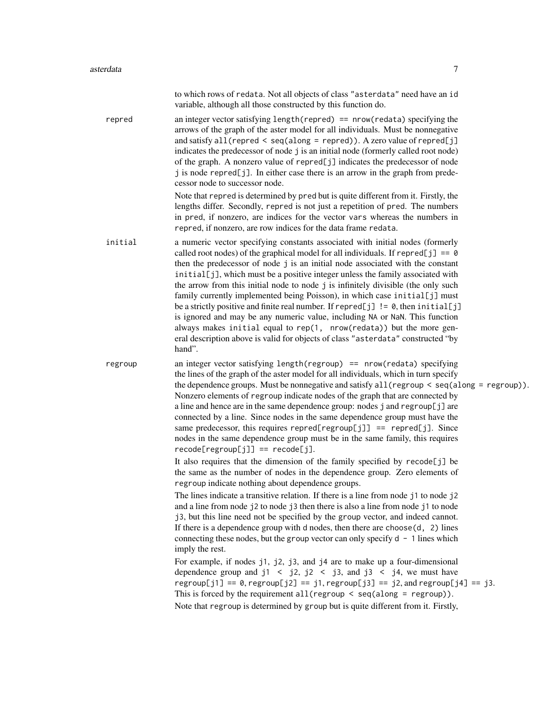|         | to which rows of redata. Not all objects of class "asterdata" need have an id<br>variable, although all those constructed by this function do.                                                                                                                                                                                                                                                                                                                                                                                                                                                                                                                                                                                                                                                                                                               |
|---------|--------------------------------------------------------------------------------------------------------------------------------------------------------------------------------------------------------------------------------------------------------------------------------------------------------------------------------------------------------------------------------------------------------------------------------------------------------------------------------------------------------------------------------------------------------------------------------------------------------------------------------------------------------------------------------------------------------------------------------------------------------------------------------------------------------------------------------------------------------------|
| repred  | an integer vector satisfying length (repred) == $nrow(redata)$ specifying the<br>arrows of the graph of the aster model for all individuals. Must be nonnegative<br>and satisfy all (repred < seq(along = repred)). A zero value of repred[j]<br>indicates the predecessor of node j is an initial node (formerly called root node)<br>of the graph. A nonzero value of repred[j] indicates the predecessor of node<br>j is node repred[j]. In either case there is an arrow in the graph from prede-<br>cessor node to successor node.                                                                                                                                                                                                                                                                                                                      |
|         | Note that repred is determined by pred but is quite different from it. Firstly, the<br>lengths differ. Secondly, repred is not just a repetition of pred. The numbers<br>in pred, if nonzero, are indices for the vector vars whereas the numbers in<br>repred, if nonzero, are row indices for the data frame redata.                                                                                                                                                                                                                                                                                                                                                                                                                                                                                                                                       |
| initial | a numeric vector specifying constants associated with initial nodes (formerly<br>called root nodes) of the graphical model for all individuals. If repred[j] == $\theta$<br>then the predecessor of node j is an initial node associated with the constant<br>initial[j], which must be a positive integer unless the family associated with<br>the arrow from this initial node to node j is infinitely divisible (the only such<br>family currently implemented being Poisson), in which case initial[j] must<br>be a strictly positive and finite real number. If repred[j] $!= 0$ , then initial[j]<br>is ignored and may be any numeric value, including NA or NaN. This function<br>always makes initial equal to rep(1, nrow(redata)) but the more gen-<br>eral description above is valid for objects of class "asterdata" constructed "by<br>hand". |
| regroup | an integer vector satisfying length (regroup) == $nrow(redata)$ specifying<br>the lines of the graph of the aster model for all individuals, which in turn specify<br>the dependence groups. Must be nonnegative and satisfy all ( $regroup < seq(along = regroup)$ ).<br>Nonzero elements of regroup indicate nodes of the graph that are connected by<br>a line and hence are in the same dependence group: nodes j and regroup[j] are<br>connected by a line. Since nodes in the same dependence group must have the<br>same predecessor, this requires repred[regroup[j]] == repred[j]. Since<br>nodes in the same dependence group must be in the same family, this requires<br>$recode[regroup[j]] == recode[j].$                                                                                                                                      |
|         | It also requires that the dimension of the family specified by recode[j] be<br>the same as the number of nodes in the dependence group. Zero elements of<br>regroup indicate nothing about dependence groups.                                                                                                                                                                                                                                                                                                                                                                                                                                                                                                                                                                                                                                                |
|         | The lines indicate a transitive relation. If there is a line from node j1 to node j2<br>and a line from node j2 to node j3 then there is also a line from node j1 to node<br>j3, but this line need not be specified by the group vector, and indeed cannot.<br>If there is a dependence group with d nodes, then there are $choose(d, 2)$ lines<br>connecting these nodes, but the group vector can only specify $d - 1$ lines which<br>imply the rest.                                                                                                                                                                                                                                                                                                                                                                                                     |
|         | For example, if nodes j1, j2, j3, and j4 are to make up a four-dimensional<br>dependence group and $j1 \leq j2$ , $j2 \leq j3$ , and $j3 \leq j4$ , we must have<br>$regroup[j1] == 0, regroup[j2] == j1, regroup[j3] == j2, and regroup[j4] == j3.$<br>This is forced by the requirement all (regroup $\le$ seq(along = regroup)).                                                                                                                                                                                                                                                                                                                                                                                                                                                                                                                          |

Note that regroup is determined by group but is quite different from it. Firstly,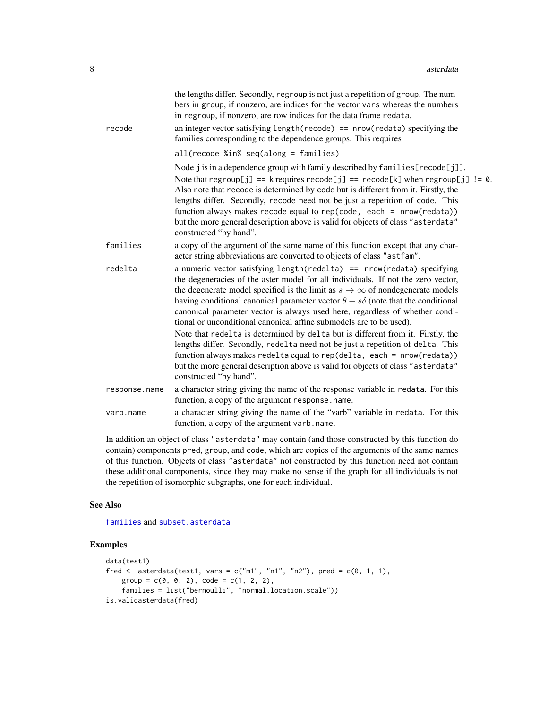<span id="page-7-0"></span>

| recode        | the lengths differ. Secondly, regroup is not just a repetition of group. The num-<br>bers in group, if nonzero, are indices for the vector vars whereas the numbers<br>in regroup, if nonzero, are row indices for the data frame redata.<br>an integer vector satisfying length (recode) == $nrow(redata)$ specifying the                                                                                                                                                                                                                                                                                                                                                                                                                                                                                                                                                |
|---------------|---------------------------------------------------------------------------------------------------------------------------------------------------------------------------------------------------------------------------------------------------------------------------------------------------------------------------------------------------------------------------------------------------------------------------------------------------------------------------------------------------------------------------------------------------------------------------------------------------------------------------------------------------------------------------------------------------------------------------------------------------------------------------------------------------------------------------------------------------------------------------|
|               | families corresponding to the dependence groups. This requires                                                                                                                                                                                                                                                                                                                                                                                                                                                                                                                                                                                                                                                                                                                                                                                                            |
|               | $all(recode %in% seq(along = families)$                                                                                                                                                                                                                                                                                                                                                                                                                                                                                                                                                                                                                                                                                                                                                                                                                                   |
|               | Node j is in a dependence group with family described by families [recode[j]].<br>Note that $\text{regroup}[j] == k \text{ requires } \text{recode}[j] == \text{recode}[k]$ when $\text{regroup}[j] := \emptyset$ .<br>Also note that recode is determined by code but is different from it. Firstly, the<br>lengths differ. Secondly, recode need not be just a repetition of code. This<br>function always makes recode equal to rep(code, each = nrow(redata))<br>but the more general description above is valid for objects of class "asterdata"<br>constructed "by hand".                                                                                                                                                                                                                                                                                           |
| families      | a copy of the argument of the same name of this function except that any char-<br>acter string abbreviations are converted to objects of class "astfam".                                                                                                                                                                                                                                                                                                                                                                                                                                                                                                                                                                                                                                                                                                                  |
| redelta       | a numeric vector satisfying length (redelta) == $nrow(redata)$ specifying<br>the degeneracies of the aster model for all individuals. If not the zero vector,<br>the degenerate model specified is the limit as $s \to \infty$ of nondegenerate models<br>having conditional canonical parameter vector $\theta + s\delta$ (note that the conditional<br>canonical parameter vector is always used here, regardless of whether condi-<br>tional or unconditional canonical affine submodels are to be used).<br>Note that redelta is determined by delta but is different from it. Firstly, the<br>lengths differ. Secondly, redelta need not be just a repetition of delta. This<br>function always makes redelta equal to rep(delta, each = nrow(redata))<br>but the more general description above is valid for objects of class "asterdata"<br>constructed "by hand". |
| response.name | a character string giving the name of the response variable in redata. For this<br>function, a copy of the argument response.name.                                                                                                                                                                                                                                                                                                                                                                                                                                                                                                                                                                                                                                                                                                                                        |
| varb.name     | a character string giving the name of the "varb" variable in redata. For this<br>function, a copy of the argument varb.name.                                                                                                                                                                                                                                                                                                                                                                                                                                                                                                                                                                                                                                                                                                                                              |
|               | $\mathcal{L} = \mathcal{L} = \mathcal{L} = \mathcal{L} = \mathcal{L} = \mathcal{L} = \mathcal{L} = \mathcal{L} = \mathcal{L} = \mathcal{L} = \mathcal{L} = \mathcal{L} = \mathcal{L} = \mathcal{L} = \mathcal{L} = \mathcal{L} = \mathcal{L} = \mathcal{L} = \mathcal{L} = \mathcal{L} = \mathcal{L} = \mathcal{L} = \mathcal{L} = \mathcal{L} = \mathcal{L} = \mathcal{L} = \mathcal{L} = \mathcal{L} = \mathcal{L} = \mathcal{L} = \mathcal{L} = \mathcal$                                                                                                                                                                                                                                                                                                                                                                                                              |

In addition an object of class "asterdata" may contain (and those constructed by this function do contain) components pred, group, and code, which are copies of the arguments of the same names of this function. Objects of class "asterdata" not constructed by this function need not contain these additional components, since they may make no sense if the graph for all individuals is not the repetition of isomorphic subgraphs, one for each individual.

#### See Also

[families](#page-11-1) and [subset.asterdata](#page-17-1)

## Examples

```
data(test1)
fred \leq asterdata(test1, vars = c("m1", "n1", "n2"), pred = c(0, 1, 1),
   group = c(0, 0, 2), code = c(1, 2, 2),families = list("bernoulli", "normal.location.scale"))
is.validasterdata(fred)
```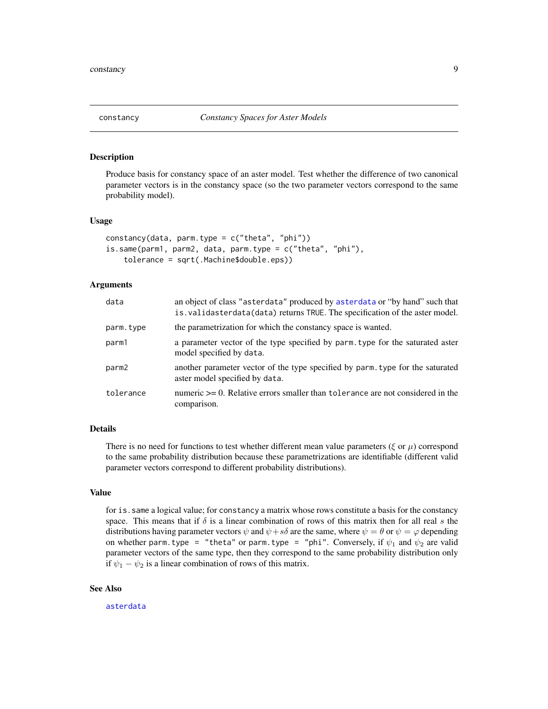<span id="page-8-0"></span>

## **Description**

Produce basis for constancy space of an aster model. Test whether the difference of two canonical parameter vectors is in the constancy space (so the two parameter vectors correspond to the same probability model).

#### Usage

```
constancy(data, parm.type = c("theta", "phi"))
is.same(parm1, parm2, data, parm.type = c("theta", "phi"),
    tolerance = sqrt(.Machine$double.eps))
```
#### Arguments

| data      | an object of class "asterdata" produced by asterdata or "by hand" such that<br>is. validasterdata(data) returns TRUE. The specification of the aster model. |
|-----------|-------------------------------------------------------------------------------------------------------------------------------------------------------------|
| parm.type | the parametrization for which the constancy space is wanted.                                                                                                |
| parm1     | a parameter vector of the type specified by parm, type for the saturated aster<br>model specified by data.                                                  |
| parm2     | another parameter vector of the type specified by parm, type for the saturated<br>aster model specified by data.                                            |
| tolerance | numeric $\geq 0$ . Relative errors smaller than to level and considered in the<br>comparison.                                                               |

#### Details

There is no need for functions to test whether different mean value parameters ( $\xi$  or  $\mu$ ) correspond to the same probability distribution because these parametrizations are identifiable (different valid parameter vectors correspond to different probability distributions).

## Value

for is.same a logical value; for constancy a matrix whose rows constitute a basis for the constancy space. This means that if  $\delta$  is a linear combination of rows of this matrix then for all real s the distributions having parameter vectors  $\psi$  and  $\psi + s\delta$  are the same, where  $\psi = \theta$  or  $\psi = \varphi$  depending on whether parm. type = "theta" or parm. type = "phi". Conversely, if  $\psi_1$  and  $\psi_2$  are valid parameter vectors of the same type, then they correspond to the same probability distribution only if  $\psi_1 - \psi_2$  is a linear combination of rows of this matrix.

#### See Also

[asterdata](#page-3-1)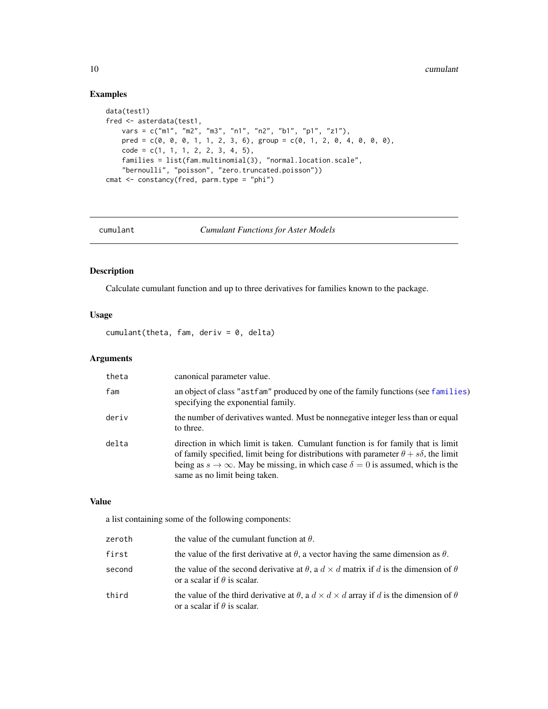## Examples

```
data(test1)
fred <- asterdata(test1,
    vars = c("m1", "m2", "m3", "n1", "n2", "b1", "p1", "z1"),
    pred = c(0, 0, 0, 1, 1, 2, 3, 6), group = c(0, 1, 2, 0, 4, 0, 0, 0),
   code = c(1, 1, 1, 2, 2, 3, 4, 5),families = list(fam.multinomial(3), "normal.location.scale",
    "bernoulli", "poisson", "zero.truncated.poisson"))
cmat <- constancy(fred, parm.type = "phi")
```
<span id="page-9-1"></span>

```
cumulant Cumulant Functions for Aster Models
```
## Description

Calculate cumulant function and up to three derivatives for families known to the package.

## Usage

 $cumulant$ (theta, fam, deriv = 0, delta)

## Arguments

| theta | canonical parameter value.                                                                                                                                                                                                                                                                                             |
|-------|------------------------------------------------------------------------------------------------------------------------------------------------------------------------------------------------------------------------------------------------------------------------------------------------------------------------|
| fam   | an object of class "astfam" produced by one of the family functions (see families)<br>specifying the exponential family.                                                                                                                                                                                               |
| deriv | the number of derivatives wanted. Must be nonnegative integer less than or equal<br>to three.                                                                                                                                                                                                                          |
| delta | direction in which limit is taken. Cumulant function is for family that is limit<br>of family specified, limit being for distributions with parameter $\theta + s\delta$ , the limit<br>being as $s \to \infty$ . May be missing, in which case $\delta = 0$ is assumed, which is the<br>same as no limit being taken. |

## Value

a list containing some of the following components:

| zeroth | the value of the cumulant function at $\theta$ .                                                                                                      |
|--------|-------------------------------------------------------------------------------------------------------------------------------------------------------|
| first  | the value of the first derivative at $\theta$ , a vector having the same dimension as $\theta$ .                                                      |
| second | the value of the second derivative at $\theta$ , a $d \times d$ matrix if d is the dimension of $\theta$<br>or a scalar if $\theta$ is scalar.        |
| third  | the value of the third derivative at $\theta$ , a $d \times d \times d$ array if d is the dimension of $\theta$<br>or a scalar if $\theta$ is scalar. |

<span id="page-9-0"></span>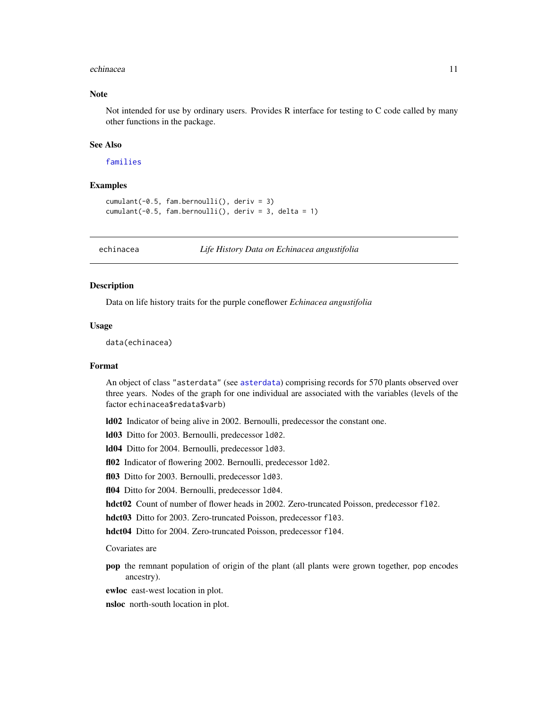#### <span id="page-10-0"></span>echinacea **11**

## Note

Not intended for use by ordinary users. Provides R interface for testing to C code called by many other functions in the package.

## See Also

[families](#page-11-1)

## Examples

```
cumulant(-0.5, fam.bernoulli(), deriv = 3)
cumulant(-0.5, fam.bernoulli(), deriv = 3, delta = 1)
```
echinacea *Life History Data on Echinacea angustifolia*

#### Description

Data on life history traits for the purple coneflower *Echinacea angustifolia*

#### Usage

data(echinacea)

#### Format

An object of class "asterdata" (see [asterdata](#page-3-1)) comprising records for 570 plants observed over three years. Nodes of the graph for one individual are associated with the variables (levels of the factor echinacea\$redata\$varb)

ld02 Indicator of being alive in 2002. Bernoulli, predecessor the constant one.

ld03 Ditto for 2003. Bernoulli, predecessor ld02.

ld04 Ditto for 2004. Bernoulli, predecessor ld03.

fl02 Indicator of flowering 2002. Bernoulli, predecessor 1d02.

fl03 Ditto for 2003. Bernoulli, predecessor 1d03.

fl04 Ditto for 2004. Bernoulli, predecessor 1d04.

hdct02 Count of number of flower heads in 2002. Zero-truncated Poisson, predecessor f102.

hdct03 Ditto for 2003. Zero-truncated Poisson, predecessor fl03.

hdct04 Ditto for 2004. Zero-truncated Poisson, predecessor f104.

Covariates are

pop the remnant population of origin of the plant (all plants were grown together, pop encodes ancestry).

ewloc east-west location in plot.

nsloc north-south location in plot.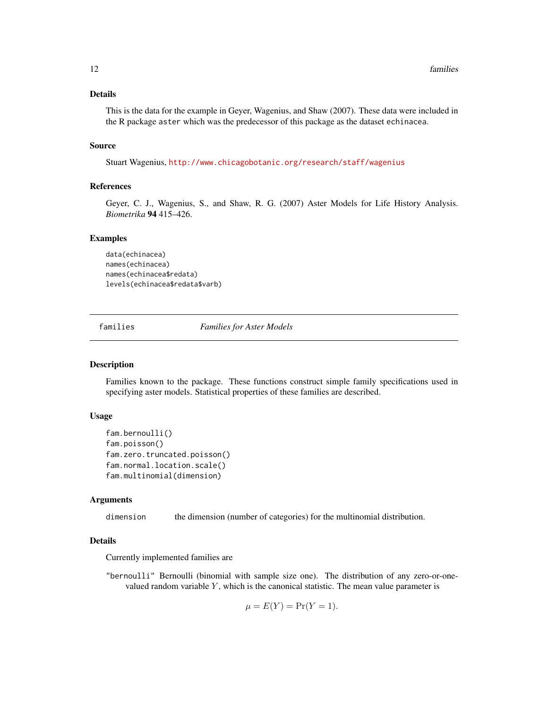## <span id="page-11-0"></span>Details

This is the data for the example in Geyer, Wagenius, and Shaw (2007). These data were included in the R package aster which was the predecessor of this package as the dataset echinacea.

#### Source

Stuart Wagenius, <http://www.chicagobotanic.org/research/staff/wagenius>

## References

Geyer, C. J., Wagenius, S., and Shaw, R. G. (2007) Aster Models for Life History Analysis. *Biometrika* 94 415–426.

#### Examples

```
data(echinacea)
names(echinacea)
names(echinacea$redata)
levels(echinacea$redata$varb)
```
<span id="page-11-1"></span>families *Families for Aster Models*

## Description

Families known to the package. These functions construct simple family specifications used in specifying aster models. Statistical properties of these families are described.

## Usage

```
fam.bernoulli()
fam.poisson()
fam.zero.truncated.poisson()
fam.normal.location.scale()
fam.multinomial(dimension)
```
#### Arguments

dimension the dimension (number of categories) for the multinomial distribution.

#### Details

Currently implemented families are

"bernoulli" Bernoulli (binomial with sample size one). The distribution of any zero-or-onevalued random variable  $Y$ , which is the canonical statistic. The mean value parameter is

$$
\mu = E(Y) = Pr(Y = 1).
$$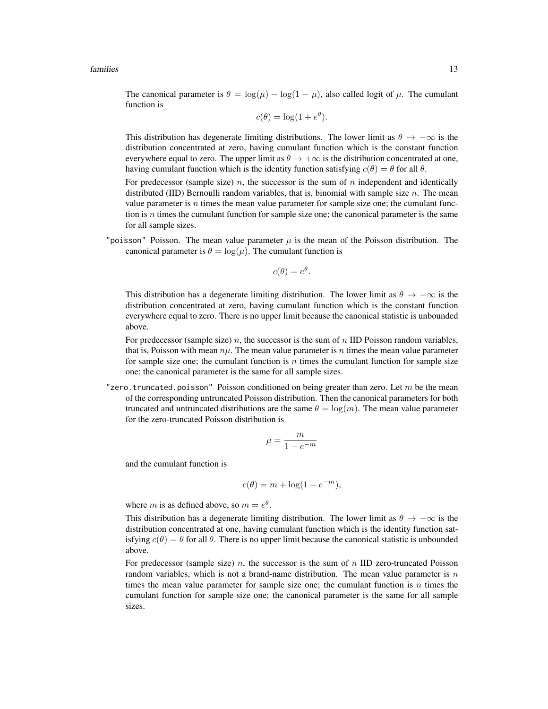#### families that the contract of the contract of the contract of the contract of the contract of the contract of the contract of the contract of the contract of the contract of the contract of the contract of the contract of

The canonical parameter is  $\theta = \log(\mu) - \log(1 - \mu)$ , also called logit of  $\mu$ . The cumulant function is

$$
c(\theta) = \log(1 + e^{\theta}).
$$

This distribution has degenerate limiting distributions. The lower limit as  $\theta \to -\infty$  is the distribution concentrated at zero, having cumulant function which is the constant function everywhere equal to zero. The upper limit as  $\theta \to +\infty$  is the distribution concentrated at one, having cumulant function which is the identity function satisfying  $c(\theta) = \theta$  for all  $\theta$ .

For predecessor (sample size)  $n$ , the successor is the sum of  $n$  independent and identically distributed (IID) Bernoulli random variables, that is, binomial with sample size  $n$ . The mean value parameter is  $n$  times the mean value parameter for sample size one; the cumulant function is  $n$  times the cumulant function for sample size one; the canonical parameter is the same for all sample sizes.

"poisson" Poisson. The mean value parameter  $\mu$  is the mean of the Poisson distribution. The canonical parameter is  $\theta = \log(\mu)$ . The cumulant function is

$$
c(\theta) = e^{\theta}.
$$

This distribution has a degenerate limiting distribution. The lower limit as  $\theta \to -\infty$  is the distribution concentrated at zero, having cumulant function which is the constant function everywhere equal to zero. There is no upper limit because the canonical statistic is unbounded above.

For predecessor (sample size)  $n$ , the successor is the sum of  $n$  IID Poisson random variables, that is, Poisson with mean  $n\mu$ . The mean value parameter is n times the mean value parameter for sample size one; the cumulant function is  $n$  times the cumulant function for sample size one; the canonical parameter is the same for all sample sizes.

"zero.truncated.poisson" Poisson conditioned on being greater than zero. Let m be the mean of the corresponding untruncated Poisson distribution. Then the canonical parameters for both truncated and untruncated distributions are the same  $\theta = \log(m)$ . The mean value parameter for the zero-truncated Poisson distribution is

$$
\mu = \frac{m}{1 - e^{-m}}
$$

and the cumulant function is

$$
c(\theta) = m + \log(1 - e^{-m}),
$$

where *m* is as defined above, so  $m = e^{\theta}$ .

This distribution has a degenerate limiting distribution. The lower limit as  $\theta \to -\infty$  is the distribution concentrated at one, having cumulant function which is the identity function satisfying  $c(\theta) = \theta$  for all  $\theta$ . There is no upper limit because the canonical statistic is unbounded above.

For predecessor (sample size) n, the successor is the sum of n IID zero-truncated Poisson random variables, which is not a brand-name distribution. The mean value parameter is  $n$ times the mean value parameter for sample size one; the cumulant function is  $n$  times the cumulant function for sample size one; the canonical parameter is the same for all sample sizes.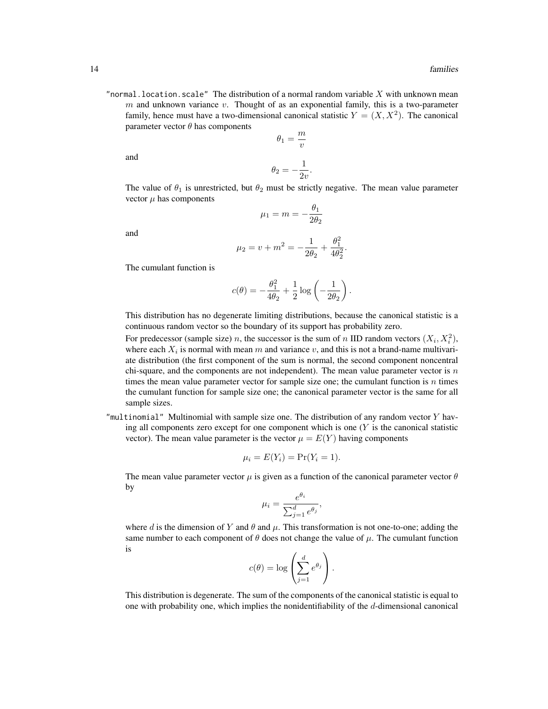"normal. location. scale" The distribution of a normal random variable  $X$  with unknown mean  $m$  and unknown variance  $v$ . Thought of as an exponential family, this is a two-parameter family, hence must have a two-dimensional canonical statistic  $Y = (X, X^2)$ . The canonical parameter vector  $\theta$  has components m

$$
\theta_1 = \frac{m}{v}
$$

and

$$
\theta_2 = -\frac{1}{2v}.
$$

The value of  $\theta_1$  is unrestricted, but  $\theta_2$  must be strictly negative. The mean value parameter vector  $\mu$  has components

$$
\mu_1 = m = -\frac{\theta_1}{2\theta_2}
$$

and

$$
\mu_2 = v + m^2 = -\frac{1}{2\theta_2} + \frac{\theta_1^2}{4\theta_2^2}.
$$

The cumulant function is

$$
c(\theta) = -\frac{\theta_1^2}{4\theta_2} + \frac{1}{2}\log\left(-\frac{1}{2\theta_2}\right).
$$

This distribution has no degenerate limiting distributions, because the canonical statistic is a continuous random vector so the boundary of its support has probability zero.

For predecessor (sample size) *n*, the successor is the sum of *n* IID random vectors  $(X_i, X_i^2)$ , where each  $X_i$  is normal with mean m and variance v, and this is not a brand-name multivariate distribution (the first component of the sum is normal, the second component noncentral chi-square, and the components are not independent). The mean value parameter vector is  $n$ times the mean value parameter vector for sample size one; the cumulant function is  $n$  times the cumulant function for sample size one; the canonical parameter vector is the same for all sample sizes.

"multinomial" Multinomial with sample size one. The distribution of any random vector  $Y$  having all components zero except for one component which is one  $(Y$  is the canonical statistic vector). The mean value parameter is the vector  $\mu = E(Y)$  having components

$$
\mu_i = E(Y_i) = \Pr(Y_i = 1).
$$

The mean value parameter vector  $\mu$  is given as a function of the canonical parameter vector  $\theta$ by

$$
\mu_i = \frac{e^{\theta_i}}{\sum_{j=1}^d e^{\theta_j}},
$$

where d is the dimension of Y and  $\theta$  and  $\mu$ . This transformation is not one-to-one; adding the same number to each component of  $\theta$  does not change the value of  $\mu$ . The cumulant function is

$$
c(\theta) = \log \left( \sum_{j=1}^d e^{\theta_j} \right).
$$

This distribution is degenerate. The sum of the components of the canonical statistic is equal to one with probability one, which implies the nonidentifiability of the d-dimensional canonical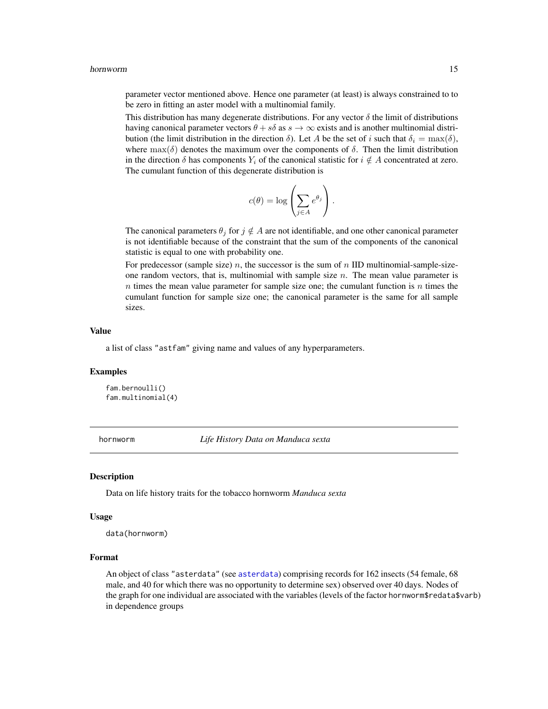<span id="page-14-0"></span>parameter vector mentioned above. Hence one parameter (at least) is always constrained to to be zero in fitting an aster model with a multinomial family.

This distribution has many degenerate distributions. For any vector  $\delta$  the limit of distributions having canonical parameter vectors  $\theta + s\delta$  as  $s \to \infty$  exists and is another multinomial distribution (the limit distribution in the direction  $\delta$ ). Let A be the set of i such that  $\delta_i = \max(\delta)$ , where  $\max(\delta)$  denotes the maximum over the components of  $\delta$ . Then the limit distribution in the direction  $\delta$  has components  $Y_i$  of the canonical statistic for  $i \notin A$  concentrated at zero. The cumulant function of this degenerate distribution is

$$
c(\theta) = \log \left( \sum_{j \in A} e^{\theta_j} \right).
$$

The canonical parameters  $\theta_j$  for  $j \notin A$  are not identifiable, and one other canonical parameter is not identifiable because of the constraint that the sum of the components of the canonical statistic is equal to one with probability one.

For predecessor (sample size)  $n$ , the successor is the sum of  $n$  IID multinomial-sample-sizeone random vectors, that is, multinomial with sample size  $n$ . The mean value parameter is  $n$  times the mean value parameter for sample size one; the cumulant function is  $n$  times the cumulant function for sample size one; the canonical parameter is the same for all sample sizes.

#### Value

a list of class "astfam" giving name and values of any hyperparameters.

#### Examples

fam.bernoulli() fam.multinomial(4)

hornworm *Life History Data on Manduca sexta*

#### **Description**

Data on life history traits for the tobacco hornworm *Manduca sexta*

#### Usage

data(hornworm)

#### Format

An object of class "asterdata" (see [asterdata](#page-3-1)) comprising records for 162 insects (54 female, 68 male, and 40 for which there was no opportunity to determine sex) observed over 40 days. Nodes of the graph for one individual are associated with the variables (levels of the factor hornworm\$redata\$varb) in dependence groups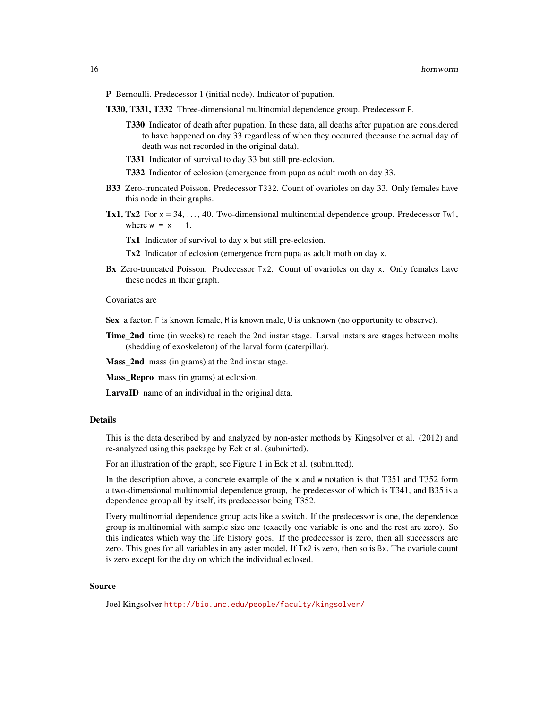- P Bernoulli. Predecessor 1 (initial node). Indicator of pupation.
- T330, T331, T332 Three-dimensional multinomial dependence group. Predecessor P.
	- T330 Indicator of death after pupation. In these data, all deaths after pupation are considered to have happened on day 33 regardless of when they occurred (because the actual day of death was not recorded in the original data).
	- T331 Indicator of survival to day 33 but still pre-eclosion.
	- T332 Indicator of eclosion (emergence from pupa as adult moth on day 33.
- B33 Zero-truncated Poisson. Predecessor T332. Count of ovarioles on day 33. Only females have this node in their graphs.
- Tx1, Tx2 For  $x = 34, ..., 40$ . Two-dimensional multinomial dependence group. Predecessor Tw1, where  $w = x - 1$ .

Tx1 Indicator of survival to day x but still pre-eclosion.

Tx2 Indicator of eclosion (emergence from pupa as adult moth on day x.

Bx Zero-truncated Poisson. Predecessor Tx2. Count of ovarioles on day x. Only females have these nodes in their graph.

#### Covariates are

Sex a factor. F is known female, M is known male, U is unknown (no opportunity to observe).

**Time\_2nd** time (in weeks) to reach the 2nd instar stage. Larval instars are stages between molts (shedding of exoskeleton) of the larval form (caterpillar).

Mass\_2nd mass (in grams) at the 2nd instar stage.

Mass\_Repro mass (in grams) at eclosion.

LarvaID name of an individual in the original data.

#### Details

This is the data described by and analyzed by non-aster methods by Kingsolver et al. (2012) and re-analyzed using this package by Eck et al. (submitted).

For an illustration of the graph, see Figure 1 in Eck et al. (submitted).

In the description above, a concrete example of the x and w notation is that T351 and T352 form a two-dimensional multinomial dependence group, the predecessor of which is T341, and B35 is a dependence group all by itself, its predecessor being T352.

Every multinomial dependence group acts like a switch. If the predecessor is one, the dependence group is multinomial with sample size one (exactly one variable is one and the rest are zero). So this indicates which way the life history goes. If the predecessor is zero, then all successors are zero. This goes for all variables in any aster model. If Tx2 is zero, then so is Bx. The ovariole count is zero except for the day on which the individual eclosed.

#### Source

Joel Kingsolver <http://bio.unc.edu/people/faculty/kingsolver/>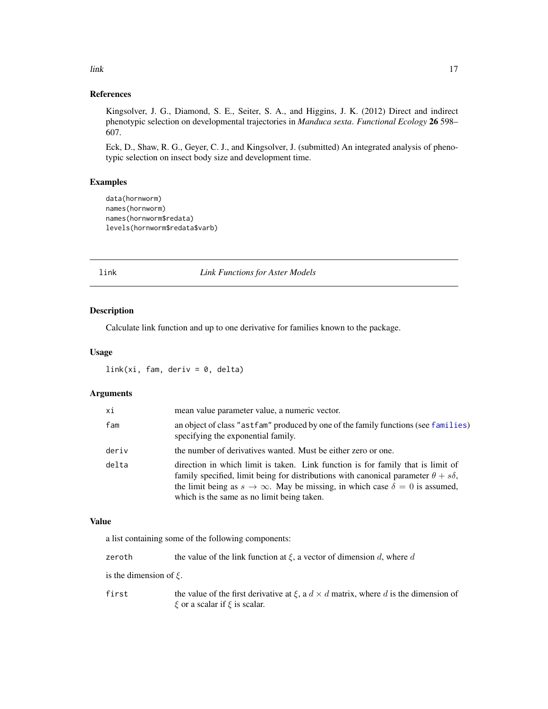<span id="page-16-0"></span>link the contract of the contract of the contract of the contract of the contract of the contract of the contract of the contract of the contract of the contract of the contract of the contract of the contract of the contr

## References

Kingsolver, J. G., Diamond, S. E., Seiter, S. A., and Higgins, J. K. (2012) Direct and indirect phenotypic selection on developmental trajectories in *Manduca sexta*. *Functional Ecology* 26 598– 607.

Eck, D., Shaw, R. G., Geyer, C. J., and Kingsolver, J. (submitted) An integrated analysis of phenotypic selection on insect body size and development time.

## Examples

```
data(hornworm)
names(hornworm)
names(hornworm$redata)
levels(hornworm$redata$varb)
```
## link *Link Functions for Aster Models*

## Description

Calculate link function and up to one derivative for families known to the package.

#### Usage

 $link(xi, fam, deriv = 0, delta)$ 

## Arguments

| хi    | mean value parameter value, a numeric vector.                                                                                                                                                                                                                                                                                |
|-------|------------------------------------------------------------------------------------------------------------------------------------------------------------------------------------------------------------------------------------------------------------------------------------------------------------------------------|
| fam   | an object of class "astfam" produced by one of the family functions (see families)<br>specifying the exponential family.                                                                                                                                                                                                     |
| deriv | the number of derivatives wanted. Must be either zero or one.                                                                                                                                                                                                                                                                |
| delta | direction in which limit is taken. Link function is for family that is limit of<br>family specified, limit being for distributions with canonical parameter $\theta + s\delta$ ,<br>the limit being as $s \to \infty$ . May be missing, in which case $\delta = 0$ is assumed,<br>which is the same as no limit being taken. |

## Value

a list containing some of the following components:

| zeroth                      | the value of the link function at $\xi$ , a vector of dimension d, where d                                                               |
|-----------------------------|------------------------------------------------------------------------------------------------------------------------------------------|
| is the dimension of $\xi$ . |                                                                                                                                          |
| first                       | the value of the first derivative at $\xi$ , a $d \times d$ matrix, where d is the dimension of<br>$\xi$ or a scalar if $\xi$ is scalar. |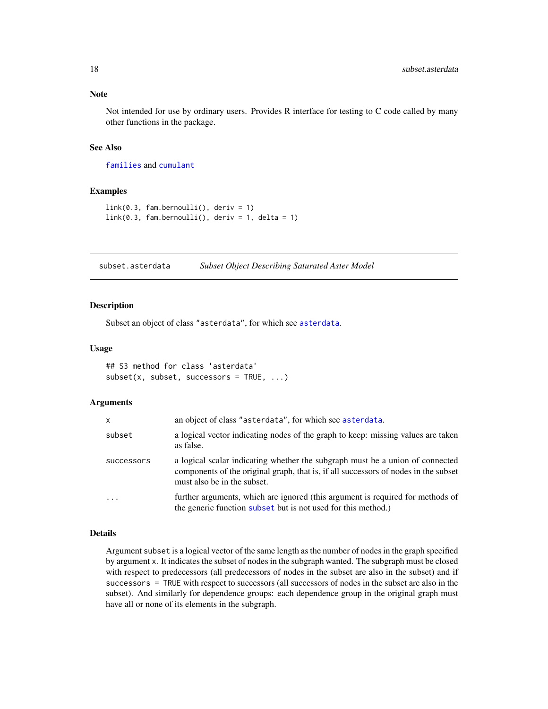<span id="page-17-0"></span>Not intended for use by ordinary users. Provides R interface for testing to C code called by many other functions in the package.

#### See Also

[families](#page-11-1) and [cumulant](#page-9-1)

## Examples

```
link(0.3, fam.bernoulli(), deriv = 1)link(0.3, fam.bernoulli(), deriv = 1, delta = 1)
```
<span id="page-17-1"></span>subset.asterdata *Subset Object Describing Saturated Aster Model*

#### Description

Subset an object of class "asterdata", for which see [asterdata](#page-3-1).

#### Usage

```
## S3 method for class 'asterdata'
subset(x, subset, successors = TRUE, ...)
```
#### Arguments

| X                 | an object of class "asterdata", for which see asterdata.                                                                                                                                            |
|-------------------|-----------------------------------------------------------------------------------------------------------------------------------------------------------------------------------------------------|
| subset            | a logical vector indicating nodes of the graph to keep: missing values are taken<br>as false.                                                                                                       |
| <b>SUCCESSOLS</b> | a logical scalar indicating whether the subgraph must be a union of connected<br>components of the original graph, that is, if all successors of nodes in the subset<br>must also be in the subset. |
| $\cdots$          | further arguments, which are ignored (this argument is required for methods of<br>the generic function subset but is not used for this method.)                                                     |

#### Details

Argument subset is a logical vector of the same length as the number of nodes in the graph specified by argument x. It indicates the subset of nodes in the subgraph wanted. The subgraph must be closed with respect to predecessors (all predecessors of nodes in the subset are also in the subset) and if successors = TRUE with respect to successors (all successors of nodes in the subset are also in the subset). And similarly for dependence groups: each dependence group in the original graph must have all or none of its elements in the subgraph.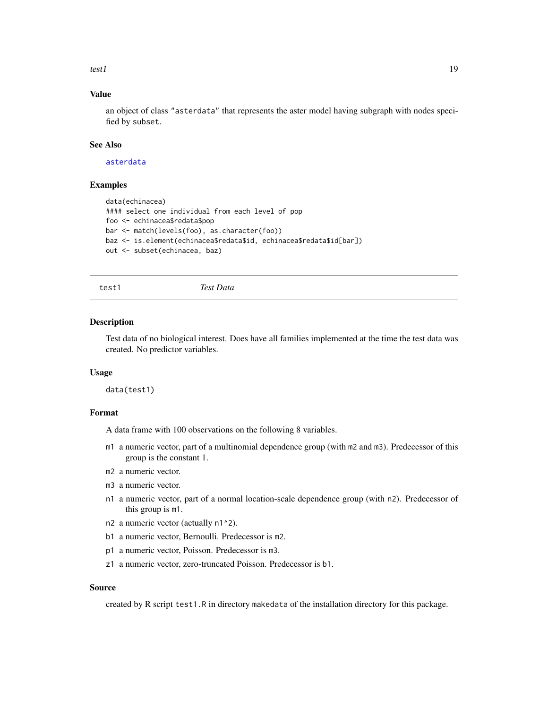<span id="page-18-0"></span>test1  $19$ 

## Value

an object of class "asterdata" that represents the aster model having subgraph with nodes specified by subset.

#### See Also

[asterdata](#page-3-1)

## Examples

```
data(echinacea)
#### select one individual from each level of pop
foo <- echinacea$redata$pop
bar <- match(levels(foo), as.character(foo))
baz <- is.element(echinacea$redata$id, echinacea$redata$id[bar])
out <- subset(echinacea, baz)
```
test1 *Test Data*

#### Description

Test data of no biological interest. Does have all families implemented at the time the test data was created. No predictor variables.

#### Usage

data(test1)

## Format

A data frame with 100 observations on the following 8 variables.

- m1 a numeric vector, part of a multinomial dependence group (with m2 and m3). Predecessor of this group is the constant 1.
- m2 a numeric vector.
- m3 a numeric vector.
- n1 a numeric vector, part of a normal location-scale dependence group (with n2). Predecessor of this group is m1.
- n2 a numeric vector (actually n1^2).
- b1 a numeric vector, Bernoulli. Predecessor is m2.
- p1 a numeric vector, Poisson. Predecessor is m3.
- z1 a numeric vector, zero-truncated Poisson. Predecessor is b1.

#### Source

created by R script test1.R in directory makedata of the installation directory for this package.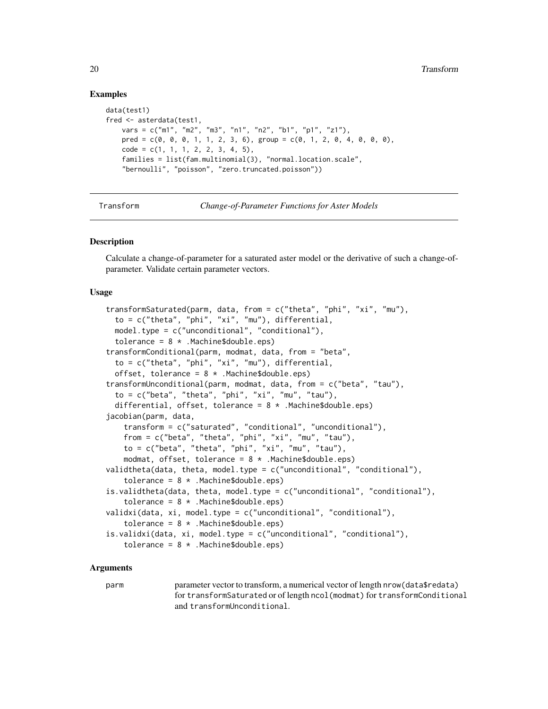#### Examples

```
data(test1)
fred <- asterdata(test1,
   vars = c("m1", "m2", "m3", "n1", "n2", "b1", "p1", "z1"),
   pred = c(0, 0, 0, 1, 1, 2, 3, 6), group = c(0, 1, 2, 0, 4, 0, 0, 0),code = c(1, 1, 1, 2, 2, 3, 4, 5),families = list(fam.multinomial(3), "normal.location.scale",
    "bernoulli", "poisson", "zero.truncated.poisson"))
```
Transform *Change-of-Parameter Functions for Aster Models*

#### <span id="page-19-1"></span>Description

Calculate a change-of-parameter for a saturated aster model or the derivative of such a change-ofparameter. Validate certain parameter vectors.

#### Usage

```
transformSaturated(parm, data, from = c("theta", "phi", "xi", "mu"),
  to = c("theta", "phi", "xi", "mu"), differential,
  model.type = c("unconditional", "conditional"),
  tolerance = 8 *. Machine$double.eps)
transformConditional(parm, modmat, data, from = "beta",
  to = c("theta", "phi", "xi", "mu"), differential,
  offset, tolerance = 8 *. Machine$double.eps)
transformUnconditional(parm, modmat, data, from = c("beta", "tau"),
  to = c("beta", "theta", "phi", "xi", "mu", "tau", "tau", "tou",differential, offset, tolerance = 8 * .Machine$double.eps)
jacobian(parm, data,
    transform = c("saturated", "conditional", "unconditional"),
    from = c("beta", "theta", "phi", "xi", "mu", "mu", "tau"),to = c("beta", "theta", "phi", "xi", "mu", "mu", "tau"),
    modmat, offset, tolerance = 8 *. Machine$double.eps)
validtheta(data, theta, model.type = c("unconditional", "conditional"),
    tolerance = 8 *. Machine$double.eps)
is.validtheta(data, theta, model.type = c("unconditional", "conditional"),
    tolerance = 8 *. Machine$double.eps)
validxi(data, xi, model.type = c("unconditional", "conditional"),
    tolerance = 8 *. Machine$double.eps)
is.validxi(data, xi, model.type = c("unconditional", "conditional"),
    tolerance = 8 *. Machine$double.eps)
```
#### **Arguments**

parm parameter vector to transform, a numerical vector of length nrow(data\$redata) for transformSaturated or of length ncol(modmat) for transformConditional and transformUnconditional.

<span id="page-19-0"></span>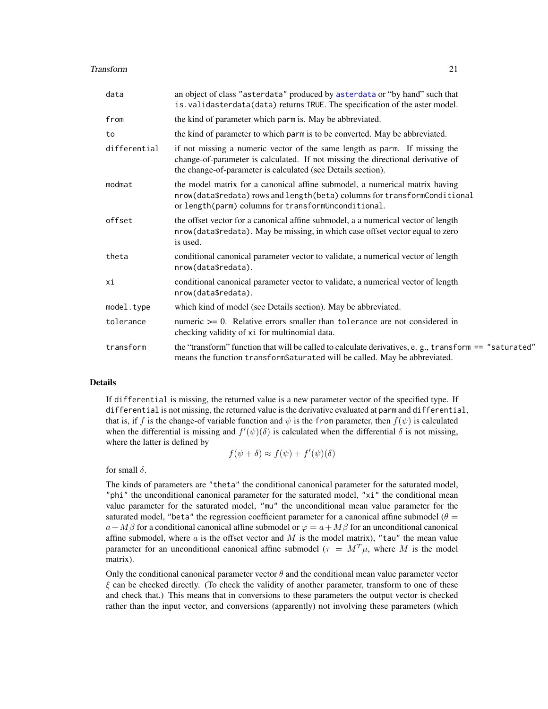#### <span id="page-20-0"></span>**Transform** 21

| data         | an object of class "asterdata" produced by asterdata or "by hand" such that<br>is. validasterdata(data) returns TRUE. The specification of the aster model.                                                                   |
|--------------|-------------------------------------------------------------------------------------------------------------------------------------------------------------------------------------------------------------------------------|
| from         | the kind of parameter which parm is. May be abbreviated.                                                                                                                                                                      |
| to           | the kind of parameter to which parm is to be converted. May be abbreviated.                                                                                                                                                   |
| differential | if not missing a numeric vector of the same length as parm. If missing the<br>change-of-parameter is calculated. If not missing the directional derivative of<br>the change-of-parameter is calculated (see Details section). |
| modmat       | the model matrix for a canonical affine submodel, a numerical matrix having<br>nrow(data\$redata) rows and length(beta) columns for transformConditional<br>or length(parm) columns for transformUnconditional.               |
| offset       | the offset vector for a canonical affine submodel, a a numerical vector of length<br>nrow(data\$redata). May be missing, in which case offset vector equal to zero<br>is used.                                                |
| theta        | conditional canonical parameter vector to validate, a numerical vector of length<br>nrow(data\$redata).                                                                                                                       |
| хi           | conditional canonical parameter vector to validate, a numerical vector of length<br>nrow(data\$redata).                                                                                                                       |
| model.type   | which kind of model (see Details section). May be abbreviated.                                                                                                                                                                |
| tolerance    | numeric $\geq 0$ . Relative errors smaller than tolerance are not considered in<br>checking validity of xi for multinomial data.                                                                                              |
| transform    | the "transform" function that will be called to calculate derivatives, e.g., transform == "saturated"<br>means the function transformSaturated will be called. May be abbreviated.                                            |

#### Details

If differential is missing, the returned value is a new parameter vector of the specified type. If differential is not missing, the returned value is the derivative evaluated at parm and differential, that is, if f is the change-of variable function and  $\psi$  is the from parameter, then  $f(\psi)$  is calculated when the differential is missing and  $f'(\psi)(\delta)$  is calculated when the differential  $\delta$  is not missing, where the latter is defined by

$$
f(\psi + \delta) \approx f(\psi) + f'(\psi)(\delta)
$$

for small  $\delta$ .

The kinds of parameters are "theta" the conditional canonical parameter for the saturated model, "phi" the unconditional canonical parameter for the saturated model, "xi" the conditional mean value parameter for the saturated model, "mu" the unconditional mean value parameter for the saturated model, "beta" the regression coefficient parameter for a canonical affine submodel ( $\theta$  =  $a+M\beta$  for a conditional canonical affine submodel or  $\varphi = a+M\beta$  for an unconditional canonical affine submodel, where  $\alpha$  is the offset vector and  $M$  is the model matrix), "tau" the mean value parameter for an unconditional canonical affine submodel ( $\tau = M^T \mu$ , where M is the model matrix).

Only the conditional canonical parameter vector  $\theta$  and the conditional mean value parameter vector  $\xi$  can be checked directly. (To check the validity of another parameter, transform to one of these and check that.) This means that in conversions to these parameters the output vector is checked rather than the input vector, and conversions (apparently) not involving these parameters (which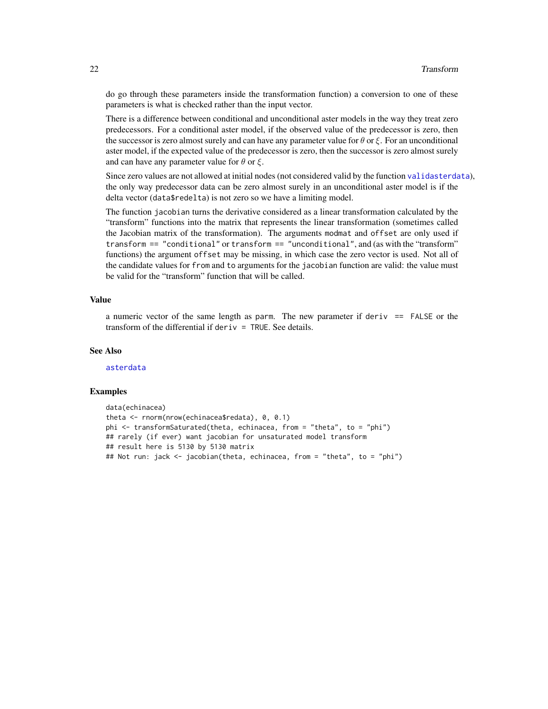do go through these parameters inside the transformation function) a conversion to one of these parameters is what is checked rather than the input vector.

There is a difference between conditional and unconditional aster models in the way they treat zero predecessors. For a conditional aster model, if the observed value of the predecessor is zero, then the successor is zero almost surely and can have any parameter value for  $\theta$  or  $\xi$ . For an unconditional aster model, if the expected value of the predecessor is zero, then the successor is zero almost surely and can have any parameter value for  $\theta$  or  $\xi$ .

Since zero values are not allowed at initial nodes (not considered valid by the function [validasterdata](#page-3-2)), the only way predecessor data can be zero almost surely in an unconditional aster model is if the delta vector (data\$redelta) is not zero so we have a limiting model.

The function jacobian turns the derivative considered as a linear transformation calculated by the "transform" functions into the matrix that represents the linear transformation (sometimes called the Jacobian matrix of the transformation). The arguments modmat and offset are only used if transform == "conditional" or transform == "unconditional", and (as with the "transform" functions) the argument offset may be missing, in which case the zero vector is used. Not all of the candidate values for from and to arguments for the jacobian function are valid: the value must be valid for the "transform" function that will be called.

#### Value

a numeric vector of the same length as parm. The new parameter if deriv  $=$  FALSE or the transform of the differential if deriv = TRUE. See details.

#### See Also

[asterdata](#page-3-1)

#### Examples

```
data(echinacea)
theta <- rnorm(nrow(echinacea$redata), 0, 0.1)
phi <- transformSaturated(theta, echinacea, from = "theta", to = "phi")
## rarely (if ever) want jacobian for unsaturated model transform
## result here is 5130 by 5130 matrix
## Not run: jack <- jacobian(theta, echinacea, from = "theta", to = "phi")
```
<span id="page-21-0"></span>